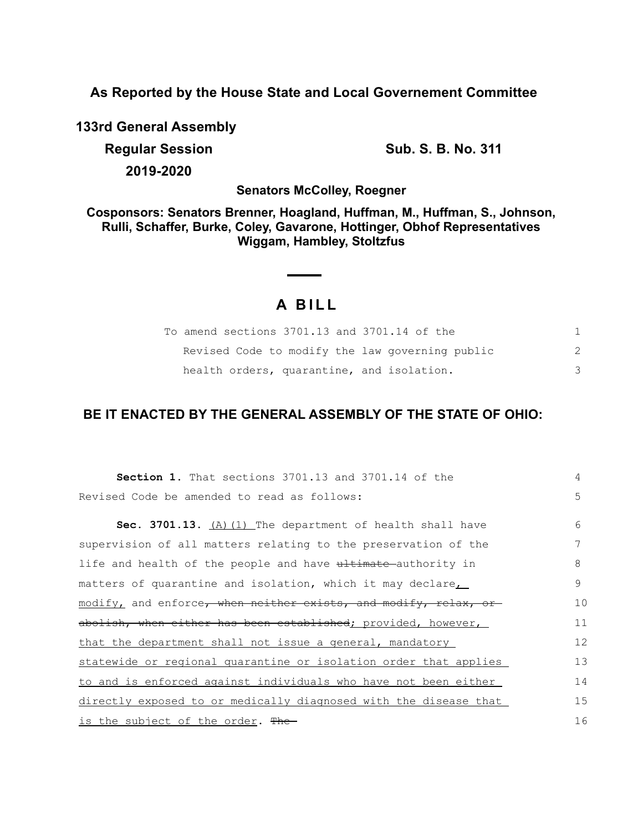**As Reported by the House State and Local Governement Committee**

**133rd General Assembly**

**Regular Session Sub. S. B. No. 311 2019-2020**

**Senators McColley, Roegner**

**Cosponsors: Senators Brenner, Hoagland, Huffman, M., Huffman, S., Johnson, Rulli, Schaffer, Burke, Coley, Gavarone, Hottinger, Obhof Representatives Wiggam, Hambley, Stoltzfus**

# **A B I L L**

| To amend sections 3701.13 and 3701.14 of the    |    |
|-------------------------------------------------|----|
| Revised Code to modify the law governing public | 2. |
| health orders, quarantine, and isolation.       |    |

# **BE IT ENACTED BY THE GENERAL ASSEMBLY OF THE STATE OF OHIO:**

| <b>Section 1.</b> That sections 3701.13 and 3701.14 of the       | 4  |
|------------------------------------------------------------------|----|
| Revised Code be amended to read as follows:                      | 5  |
| Sec. 3701.13. $(A)$ (1) The department of health shall have      | 6  |
|                                                                  |    |
| supervision of all matters relating to the preservation of the   | 7  |
| life and health of the people and have ultimate authority in     | 8  |
| matters of quarantine and isolation, which it may declare,       | 9  |
| modify, and enforce, when neither exists, and modify, relax, or  | 10 |
| abolish, when either has been established; provided, however,    | 11 |
| that the department shall not issue a general, mandatory         | 12 |
| statewide or regional quarantine or isolation order that applies | 13 |
| to and is enforced against individuals who have not been either  | 14 |
| directly exposed to or medically diagnosed with the disease that | 15 |
| <u>is the subject of the order</u> . <del>The</del>              | 16 |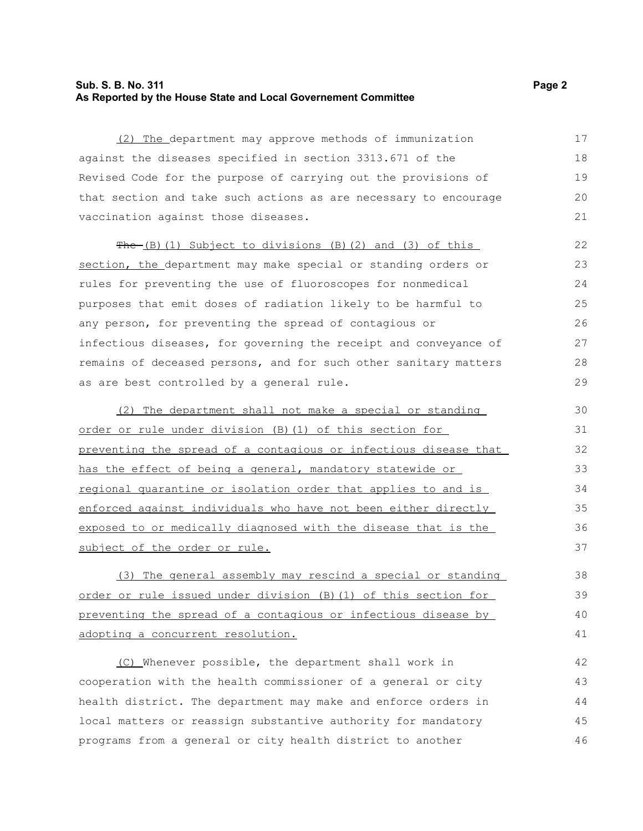## **Sub. S. B. No. 311 Page 2 As Reported by the House State and Local Governement Committee**

(2) The department may approve methods of immunization against the diseases specified in section 3313.671 of the Revised Code for the purpose of carrying out the provisions of that section and take such actions as are necessary to encourage vaccination against those diseases.

 $The (B) (1) Subject to divisions (B) (2) and (3) of this$ section, the department may make special or standing orders or rules for preventing the use of fluoroscopes for nonmedical purposes that emit doses of radiation likely to be harmful to any person, for preventing the spread of contagious or infectious diseases, for governing the receipt and conveyance of remains of deceased persons, and for such other sanitary matters as are best controlled by a general rule.

(2) The department shall not make a special or standing order or rule under division (B)(1) of this section for preventing the spread of a contagious or infectious disease that has the effect of being a general, mandatory statewide or regional quarantine or isolation order that applies to and is enforced against individuals who have not been either directly exposed to or medically diagnosed with the disease that is the subject of the order or rule.

(3) The general assembly may rescind a special or standing order or rule issued under division (B)(1) of this section for preventing the spread of a contagious or infectious disease by adopting a concurrent resolution.

(C) Whenever possible, the department shall work in cooperation with the health commissioner of a general or city health district. The department may make and enforce orders in local matters or reassign substantive authority for mandatory programs from a general or city health district to another 42 43 44 45 46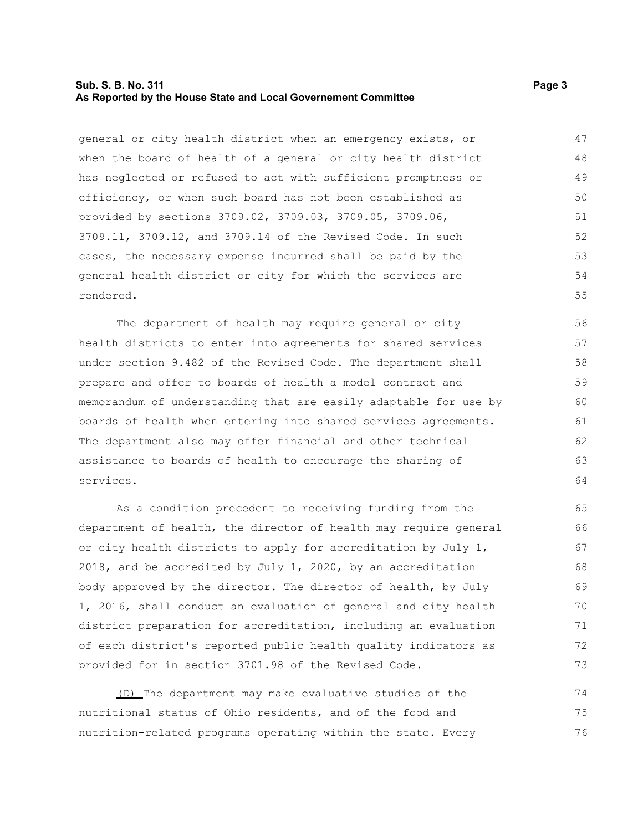### **Sub. S. B. No. 311 Page 3 As Reported by the House State and Local Governement Committee**

general or city health district when an emergency exists, or when the board of health of a general or city health district has neglected or refused to act with sufficient promptness or efficiency, or when such board has not been established as provided by sections 3709.02, 3709.03, 3709.05, 3709.06, 3709.11, 3709.12, and 3709.14 of the Revised Code. In such cases, the necessary expense incurred shall be paid by the general health district or city for which the services are rendered. 47 48 49 50 51 52 53 54 55

The department of health may require general or city health districts to enter into agreements for shared services under section 9.482 of the Revised Code. The department shall prepare and offer to boards of health a model contract and memorandum of understanding that are easily adaptable for use by boards of health when entering into shared services agreements. The department also may offer financial and other technical assistance to boards of health to encourage the sharing of services.

As a condition precedent to receiving funding from the department of health, the director of health may require general or city health districts to apply for accreditation by July 1, 2018, and be accredited by July 1, 2020, by an accreditation body approved by the director. The director of health, by July 1, 2016, shall conduct an evaluation of general and city health district preparation for accreditation, including an evaluation of each district's reported public health quality indicators as provided for in section 3701.98 of the Revised Code.

(D) The department may make evaluative studies of the nutritional status of Ohio residents, and of the food and nutrition-related programs operating within the state. Every 74 75 76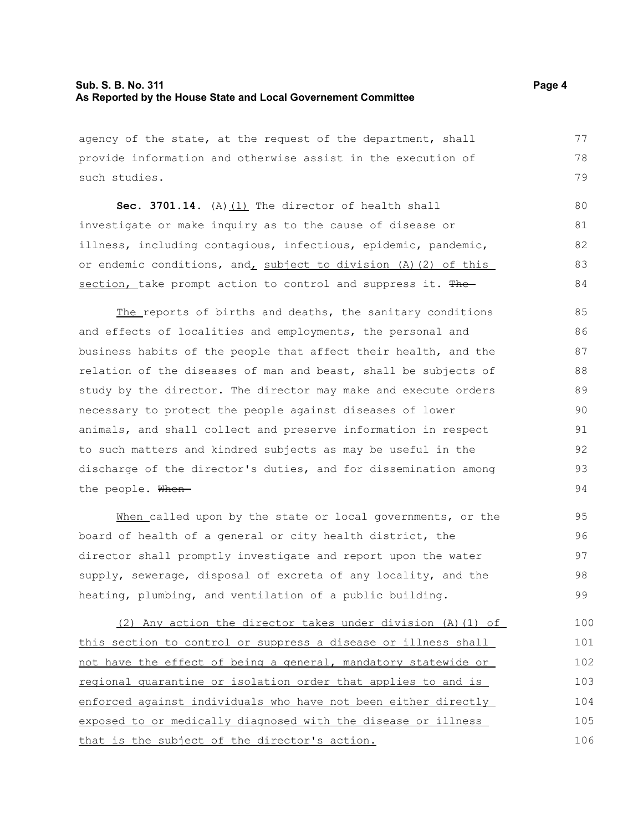## **Sub. S. B. No. 311 Page 4 As Reported by the House State and Local Governement Committee**

agency of the state, at the request of the department, shall provide information and otherwise assist in the execution of such studies.

**Sec. 3701.14.** (A)(1) The director of health shall investigate or make inquiry as to the cause of disease or illness, including contagious, infectious, epidemic, pandemic, or endemic conditions, and, subject to division (A)(2) of this section, take prompt action to control and suppress it. The 80 81 82 83 84

The reports of births and deaths, the sanitary conditions and effects of localities and employments, the personal and business habits of the people that affect their health, and the relation of the diseases of man and beast, shall be subjects of study by the director. The director may make and execute orders necessary to protect the people against diseases of lower animals, and shall collect and preserve information in respect to such matters and kindred subjects as may be useful in the discharge of the director's duties, and for dissemination among the people. When-85 86 87 88 89 90 91 92 93 94

When called upon by the state or local governments, or the board of health of a general or city health district, the director shall promptly investigate and report upon the water supply, sewerage, disposal of excreta of any locality, and the heating, plumbing, and ventilation of a public building.

(2) Any action the director takes under division (A)(1) of this section to control or suppress a disease or illness shall not have the effect of being a general, mandatory statewide or regional quarantine or isolation order that applies to and is enforced against individuals who have not been either directly exposed to or medically diagnosed with the disease or illness that is the subject of the director's action. 100 101 102 103 104 105 106

77 78 79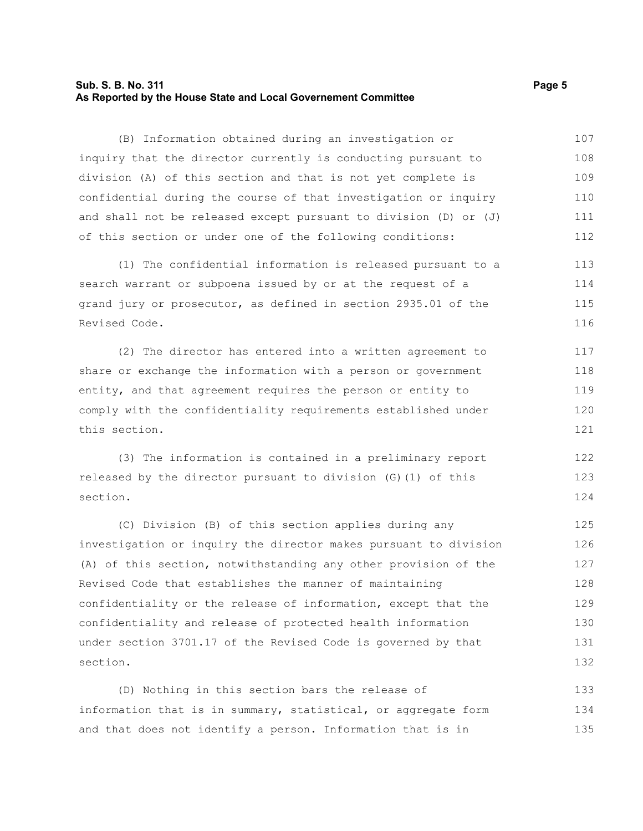#### **Sub. S. B. No. 311 Page 5 As Reported by the House State and Local Governement Committee**

(B) Information obtained during an investigation or inquiry that the director currently is conducting pursuant to division (A) of this section and that is not yet complete is confidential during the course of that investigation or inquiry and shall not be released except pursuant to division (D) or (J) of this section or under one of the following conditions: 107 108 109 110 111 112

(1) The confidential information is released pursuant to a search warrant or subpoena issued by or at the request of a grand jury or prosecutor, as defined in section 2935.01 of the Revised Code. 113 114 115 116

(2) The director has entered into a written agreement to share or exchange the information with a person or government entity, and that agreement requires the person or entity to comply with the confidentiality requirements established under this section. 117 118 119 120 121

(3) The information is contained in a preliminary report released by the director pursuant to division (G)(1) of this section. 122 123 124

(C) Division (B) of this section applies during any investigation or inquiry the director makes pursuant to division (A) of this section, notwithstanding any other provision of the Revised Code that establishes the manner of maintaining confidentiality or the release of information, except that the confidentiality and release of protected health information under section 3701.17 of the Revised Code is governed by that section. 125 126 127 128 129 130 131 132

(D) Nothing in this section bars the release of information that is in summary, statistical, or aggregate form and that does not identify a person. Information that is in 133 134 135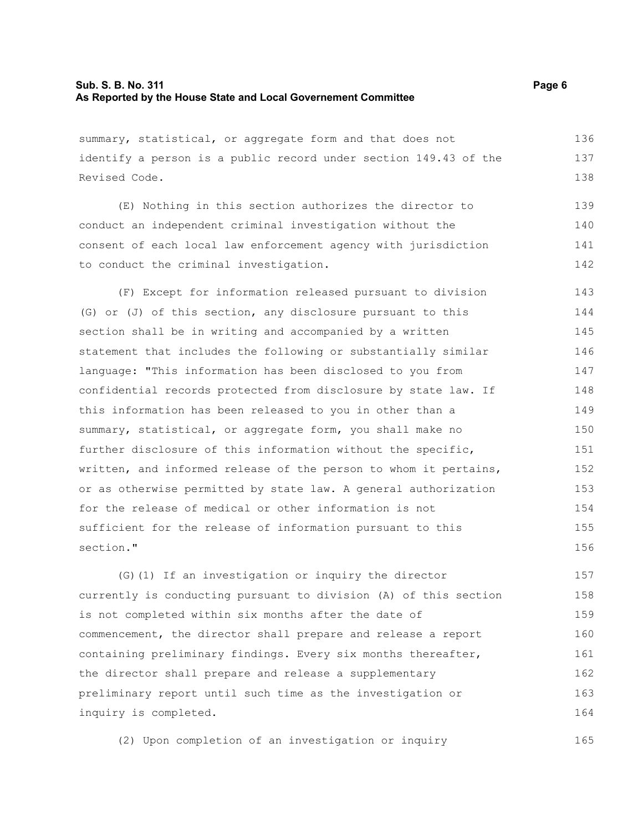## **Sub. S. B. No. 311 Page 6 As Reported by the House State and Local Governement Committee**

summary, statistical, or aggregate form and that does not identify a person is a public record under section 149.43 of the Revised Code. 136 137 138

(E) Nothing in this section authorizes the director to conduct an independent criminal investigation without the consent of each local law enforcement agency with jurisdiction to conduct the criminal investigation. 139 140 141 142

(F) Except for information released pursuant to division (G) or (J) of this section, any disclosure pursuant to this section shall be in writing and accompanied by a written statement that includes the following or substantially similar language: "This information has been disclosed to you from confidential records protected from disclosure by state law. If this information has been released to you in other than a summary, statistical, or aggregate form, you shall make no further disclosure of this information without the specific, written, and informed release of the person to whom it pertains, or as otherwise permitted by state law. A general authorization for the release of medical or other information is not sufficient for the release of information pursuant to this section." 143 144 145 146 147 148 149 150 151 152 153 154 155 156

(G)(1) If an investigation or inquiry the director currently is conducting pursuant to division (A) of this section is not completed within six months after the date of commencement, the director shall prepare and release a report containing preliminary findings. Every six months thereafter, the director shall prepare and release a supplementary preliminary report until such time as the investigation or inquiry is completed. 157 158 159 160 161 162 163 164

(2) Upon completion of an investigation or inquiry 165